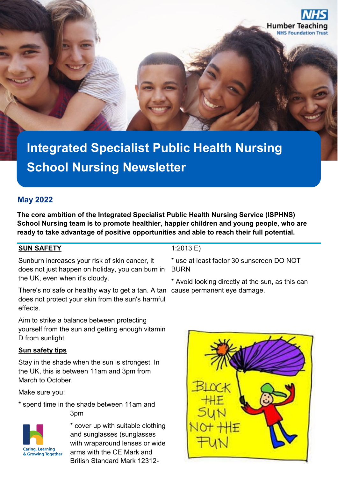

**Integrated Specialist Public Health Nursing School Nursing Newsletter**

# **May 2022**

**The core ambition of the Integrated Specialist Public Health Nursing Service (ISPHNS) School Nursing team is to promote healthier, happier children and young people, who are ready to take advantage of positive opportunities and able to reach their full potential.** 

# **SUN SAFETY**

Sunburn increases your risk of skin cancer, it does not just happen on holiday, you can burn in the UK, even when it's cloudy.

There's no safe or healthy way to get a tan. A tan cause permanent eye damage. does not protect your skin from the sun's harmful effects.

Aim to strike a balance between protecting yourself from the sun and getting enough vitamin D from sunlight.

## **Sun safety tips**

Stay in the shade when the sun is strongest. In the UK, this is between 11am and 3pm from March to October.

Make sure you:

\* spend time in the shade between 11am and 3pm



\* cover up with suitable clothing and sunglasses (sunglasses with wraparound lenses or wide arms with the CE Mark and British Standard Mark 12312-

# 1:2013 E)

\* use at least factor 30 sunscreen DO NOT BURN

\* Avoid looking directly at the sun, as this can